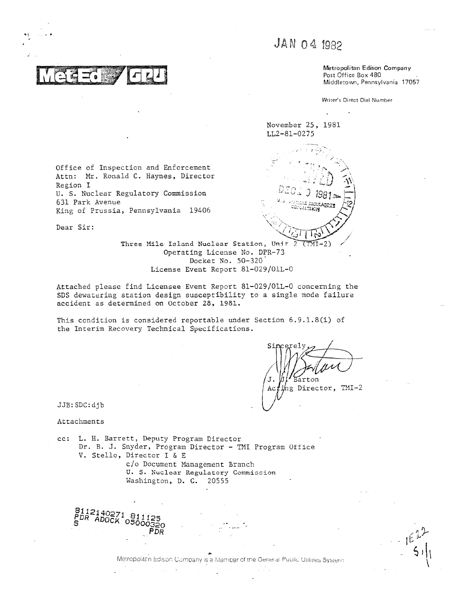# JAN 04 1982

Metropolitan Edison Company Post Office Box 480 Middletown, Pennsylvania 17057

Writer's Direct Dial Number

November 25, 1981 LL2-81-0275



Office of Inspection and Enforcement Attn: Mr. Ronald C. Haynes, Director Region I U. S. Nuclear Regulatory Commission 631 Park Avenue King of Prussia, Pennsylvania 19406

Dear Sir:

Three Mile Island Nuclear Station, Unit Operating License No. DPR-73 Docket No. 50-320 License Event Report 81-029/01L-0

Attached please find Licensee Event Report 81-029/01L-0 concerning the SDS dewatering station design susceptibility to a single mode failure accident as determined on October 28, 1981.

This condition is considered reportable under Section 6.9.1.8(i) of the Interim Recovery Technical Specifications.

arton

ing Director, TMI-2 Ac

JJB: SDC: djb

Attachments

cc: L. H. Barrett, Deputy Program Director Dr. B. J. Snyder, Program Director - TMI Program Office V. Stello, Director I & E c/o Document Management Branch

U. S. Nuclear Regulatory Commission Washington, D. C. 20555

Metropolitan Edison Company is a Member of the General Public Utilities System

 $512140271$  $0.5$ 000320 PDR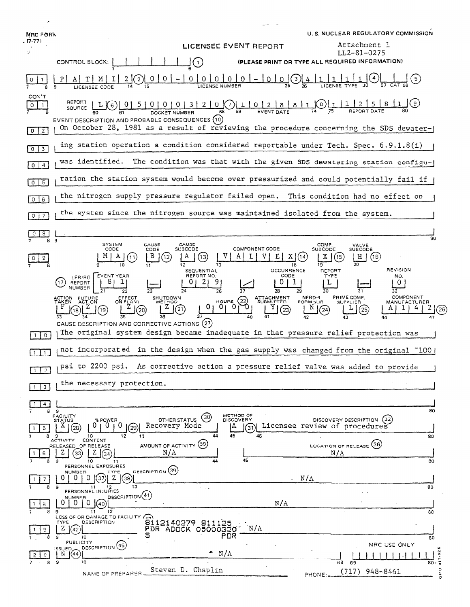| NRC FORN<br>. (7-77)              |                                                                                                                                                                                                                               | LICENSEE EVENT REPORT                                                          | U. S. NUCLEAR REGULATORY COMMISSION<br>Attachment 1                                                         |
|-----------------------------------|-------------------------------------------------------------------------------------------------------------------------------------------------------------------------------------------------------------------------------|--------------------------------------------------------------------------------|-------------------------------------------------------------------------------------------------------------|
|                                   |                                                                                                                                                                                                                               |                                                                                | $LL2 - 81 - 0275$<br>(PLEASE PRINT OR TYPE ALL REQUIRED INFORMATION)                                        |
|                                   | CONTROL BLOCK:<br>$\left(1\right)$                                                                                                                                                                                            |                                                                                |                                                                                                             |
|                                   | $\overline{0}$<br>0 <sup>1</sup><br>0<br>2                                                                                                                                                                                    | $\overline{0}$<br>$0 0  - 0 0 (3)$                                             |                                                                                                             |
| CON'T<br>$\Omega$<br>$\mathbf{1}$ | REPORT<br>$L$ $\odot$ $\left[01510001312100\right]$ $\left[110121811$<br>SOURCE<br>EVENT DESCRIPTION AND PROBABLE CONSEQUENCES (10)<br>On October 28, 1981 as a result of reviewing the procedure concerning the SDS dewater- |                                                                                | $\Gamma$ (0) [                                                                                              |
| $0 \mid 2$                        | ing station operation a condition considered reportable under Tech. Spec. 6.9.1.8(i)                                                                                                                                          |                                                                                |                                                                                                             |
| $\sqrt{3}$<br>$\circ$             | was identified.                                                                                                                                                                                                               |                                                                                | The condition was that with the given SDS dewatering station configu-                                       |
| $0\vert 4$                        | ration the station system would become over pressurized and could potentially fail if                                                                                                                                         |                                                                                |                                                                                                             |
| $0 \mid 5$                        |                                                                                                                                                                                                                               |                                                                                |                                                                                                             |
| $0$ $6$                           | the nitrogen supply pressure regulator failed open. This condition had no effect on                                                                                                                                           |                                                                                |                                                                                                             |
| $\circ$<br>7                      | the system since the nitrogen source was maintained isolated from the system.                                                                                                                                                 |                                                                                |                                                                                                             |
| 8<br>-9                           |                                                                                                                                                                                                                               |                                                                                | 80                                                                                                          |
| 9                                 | SYSIEM<br>CAUSE<br>CAUSE<br>CODE<br><b>SUBCODE</b><br>CODE<br>ь<br>12<br>11<br>12                                                                                                                                             | COMPONENT CODE<br>13<br>18                                                     | COMP.<br>VALVE<br>SUBCODE<br><b>SUBCODE</b><br>Η<br>(16)<br>19                                              |
|                                   | SEQUENTIAL<br>LER/RO EVENT YEAR<br>REPORT NO.<br>17<br>REPORT<br>NUMBER                                                                                                                                                       | OCCURRENCE<br>CODE<br>9<br>26                                                  | <b>REVISION</b><br><b>REPORT</b><br><b>TYPE</b><br>NO.<br>0                                                 |
|                                   | ACTION FUTURE<br>EFFECT<br>ON PLANT<br>SHUTDOWN<br>METHOD<br>(21)<br>19                                                                                                                                                       | <b>ATTACHMENT</b><br>HOURS $(22)$<br><b>SUBMITTED</b><br>0<br>0<br>0 I<br>[23] | COMPONENT<br>NPRD-4<br>PRIME COMP.<br>FORM SUB.<br><b>SUPPLIER</b><br>MANUFACTURER<br>N<br>(24)<br>25<br>26 |
| $\overline{0}$                    | CAUSE DESCRIPTION AND CORRECTIVE ACTIONS (27)<br>The original system design became inadequate in that pressure relief protection was                                                                                          |                                                                                |                                                                                                             |
| $\mathbf{1}$                      | not incorporated in the design when the gas supply was changed from the original ~100                                                                                                                                         |                                                                                |                                                                                                             |
|                                   | psi to 2200 psi. As corrective action a pressure relief valve was added to provide                                                                                                                                            |                                                                                |                                                                                                             |
| 2                                 | the necessary protection.                                                                                                                                                                                                     |                                                                                |                                                                                                             |
| 3                                 |                                                                                                                                                                                                                               |                                                                                |                                                                                                             |
| 4<br>9<br>8                       |                                                                                                                                                                                                                               | METHOD OF                                                                      | 80                                                                                                          |
| 5                                 | FACILITY<br>(30)<br>OTHER STATUS<br>% POWER<br><b>STATUS</b><br>0<br>0<br>Recovery Mode<br>X.<br>29                                                                                                                           | DISCOVERY<br>IA.<br>31                                                         | DISCOVERY DESCRIPTION<br>(32)<br>Licensee review of procedures                                              |
| 8<br>-9<br>6                      | 12<br>13<br>10<br>CONTENT<br><b>ACTIVITY</b><br>AMOUNT OF ACTIVITY (35)<br>RELEASED OF RELEASE<br>N/A<br>z<br>33                                                                                                              | 45<br>46<br>44                                                                 | 80<br>LOCATION OF RELEASE (36)<br>N/A                                                                       |
|                                   | 10<br>11<br>PERSONNEL EXPOSURES                                                                                                                                                                                               | 45                                                                             | 80                                                                                                          |
| 7                                 | DESCRIPTION (39)<br>NUMBER.<br>TYPE<br>0.<br>z<br>U<br>U<br>37<br>38                                                                                                                                                          | $\sim N/A$                                                                     |                                                                                                             |
| 8<br>9                            | 13<br>$\sim 1.4$<br>11 12<br>PERSONNEL INJURIES<br>DESCRIPTION <sup>(41)</sup><br>NUMBER                                                                                                                                      |                                                                                | 80                                                                                                          |
| 8<br>8<br>9                       | O<br>0 <sub>1</sub><br><b>O</b><br>1(40)<br>12<br>11                                                                                                                                                                          | N/A                                                                            | 80                                                                                                          |
| 9                                 | LOSS OF OR DAMAGE TO FACILITY (4)<br>DESCRIPTION<br>8112140279 811125<br>TYPE<br>$Z \mid (42)$<br>PDR ADOCK 05000320" N/A<br>s<br>10                                                                                          | PDR                                                                            | 80                                                                                                          |
| $\Omega$                          | <b>PUBLICITY</b><br>DESCRIPTION (45)<br>ISSUED_<br>(44)<br>N.                                                                                                                                                                 | ۰<br>N/A                                                                       | NRC USE ONLY                                                                                                |
| 89                                | 10<br>Steven D. Chaplin                                                                                                                                                                                                       |                                                                                | $\frac{1}{2}$<br>68<br>69<br>$80 -$<br>٥<br>$(717)$ 948-8461                                                |
|                                   | NAME OF PREPARER                                                                                                                                                                                                              |                                                                                | PHONE:                                                                                                      |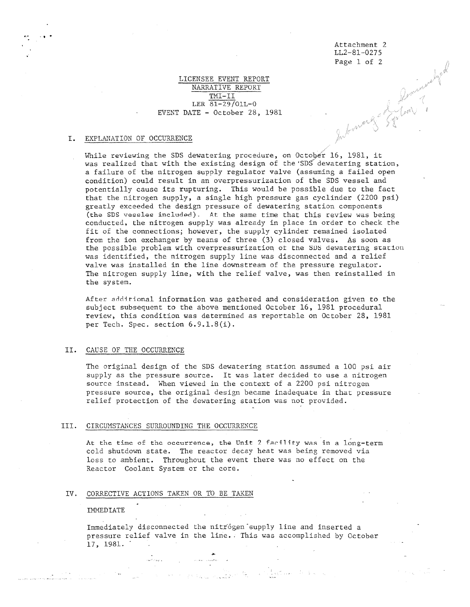Attachment 2 LL2-81-0275

## LICENSEE EVENT REPORT NARRATIVE REPORT TMI-II LER 81-29/01L-0 EVENT DATE - October 28, 1981

## I. EXPLANATION OF OCCURRENCE

Page 1 of 2<br>Deminuted of Deminuted States While reviewing the SDS dewatering procedure, on October 16, 1981, it was realized that with the existing design of the'SDS dewatering station, a failure of the nitrogen supply regulator valve (assuming a failed open condition) could result in an overpressurization of the SDS vessel and potentially cause its rupturing. This would be possible due to the fact that the nitrogen supply, a single high pressure gas cyclinder (2200 psi) greatly exceeded the design pressure of dewatering station components (the SDS vessles included). At the same time that this review was being conducted, the nitrogen supply was already in place in order to check the fit of the connections; however , the supply cylinder remained isolated from the ion exchanger by means of three (3) closed valves. As soon as the possible problem with overpressurization ot the SOS dewatering station was identified, the nitrogen supply line was disconnected and a relief valve was installed in the line downstream of the pressure regulator. The nitrogen supply line, with the relief valve, was then reinstalled in the system.

After additional information was gathered and consideration given to the subject subsequent to the above mentioned October 16, 1981 procedural review, this condition was determined as reportable on October 28, 1981 per Tech. Spec. section 6.9.1.8(i).

#### II. CAUSE OF THE OCCURRENCE

The original design of the SDS dewatering station assumed a 100 psi air supply as the pressure source. It was later decided to use a nitrogen source instead. When viewed in the context of a 2200 psi nitrogen pressure source, the original design became inadequate in that pressure relief protection of the dewatering station was not provided.

#### III. CIRCUMSTANCES SURROUNDING THE OCCURRENCE

At the time of the occurrence, the Unit 2 facility was in a long-term cold shutdown state. The reactor decay heat was being removed via loss to ambient. Throughout the event there was no effect on the Reactor Coolant System or the core.

,

### IV. CORRECTIVE ACTIONS TAKEN OR TO BE TAKEN

, where  $\hat{f}$  is a contract of the contract of the contract of the contract of the contract of the contract of the contract of the contract of the contract of the contract of the contract of the contract of the contract

#### IMMEDIATE

\_ \_<br>... \_ \_ \_ \_ \_ \_ \_ \_ \_ \_ \_ \_

Immediately disconnected the nitrogen supply line and inserted a pressure relief valve in the line.. This was accomplished by October 17, 1981.  $\sim$  100

- - \_ .